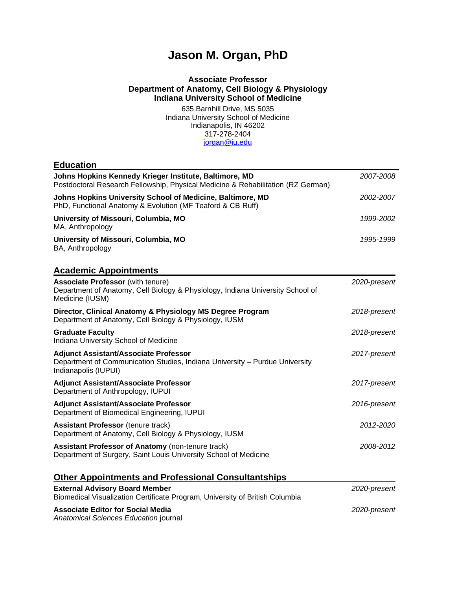# **Jason M. Organ, PhD**

## **Associate Professor Department of Anatomy, Cell Biology & Physiology Indiana University School of Medicine**

635 Barnhill Drive, MS 5035 Indiana University School of Medicine Indianapolis, IN 46202 317-278-2404 [jorgan@iu.edu](mailto:jorgan@iu.edu)

| <b>Education</b>                                                                                                                                    |              |
|-----------------------------------------------------------------------------------------------------------------------------------------------------|--------------|
| Johns Hopkins Kennedy Krieger Institute, Baltimore, MD<br>Postdoctoral Research Fellowship, Physical Medicine & Rehabilitation (RZ German)          | 2007-2008    |
| Johns Hopkins University School of Medicine, Baltimore, MD<br>PhD, Functional Anatomy & Evolution (MF Teaford & CB Ruff)                            | 2002-2007    |
| University of Missouri, Columbia, MO<br>MA, Anthropology                                                                                            | 1999-2002    |
| University of Missouri, Columbia, MO<br>BA, Anthropology                                                                                            | 1995-1999    |
| <b>Academic Appointments</b>                                                                                                                        |              |
| <b>Associate Professor (with tenure)</b><br>Department of Anatomy, Cell Biology & Physiology, Indiana University School of<br>Medicine (IUSM)       | 2020-present |
| Director, Clinical Anatomy & Physiology MS Degree Program<br>Department of Anatomy, Cell Biology & Physiology, IUSM                                 | 2018-present |
| <b>Graduate Faculty</b><br>Indiana University School of Medicine                                                                                    | 2018-present |
| <b>Adjunct Assistant/Associate Professor</b><br>Department of Communication Studies, Indiana University - Purdue University<br>Indianapolis (IUPUI) | 2017-present |
| <b>Adjunct Assistant/Associate Professor</b><br>Department of Anthropology, IUPUI                                                                   | 2017-present |
| <b>Adjunct Assistant/Associate Professor</b><br>Department of Biomedical Engineering, IUPUI                                                         | 2016-present |
| <b>Assistant Professor (tenure track)</b><br>Department of Anatomy, Cell Biology & Physiology, IUSM                                                 | 2012-2020    |
| <b>Assistant Professor of Anatomy (non-tenure track)</b><br>Department of Surgery, Saint Louis University School of Medicine                        | 2008-2012    |
| <b>Other Appointments and Professional Consultantships</b>                                                                                          |              |
| <b>External Advisory Board Member</b><br>Biomedical Visualization Certificate Program, University of British Columbia                               | 2020-present |
| <b>Associate Editor for Social Media</b>                                                                                                            | 2020-present |

*Anatomical Sciences Education* journal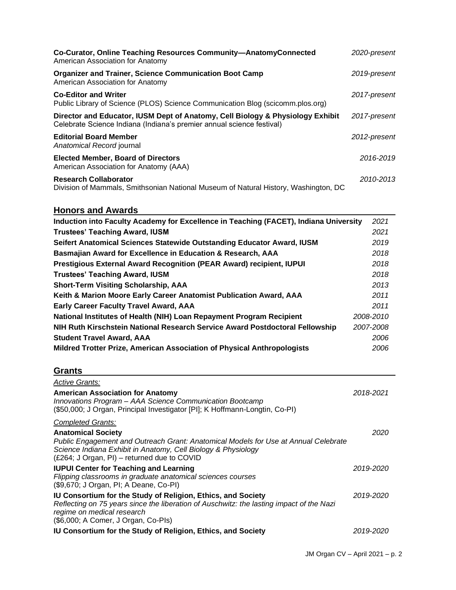| Co-Curator, Online Teaching Resources Community-AnatomyConnected<br>American Association for Anatomy                                                    | 2020-present |
|---------------------------------------------------------------------------------------------------------------------------------------------------------|--------------|
| <b>Organizer and Trainer, Science Communication Boot Camp</b><br>American Association for Anatomy                                                       | 2019-present |
| <b>Co-Editor and Writer</b><br>Public Library of Science (PLOS) Science Communication Blog (scicomm.plos.org)                                           | 2017-present |
| Director and Educator, IUSM Dept of Anatomy, Cell Biology & Physiology Exhibit<br>Celebrate Science Indiana (Indiana's premier annual science festival) | 2017-present |
| <b>Editorial Board Member</b><br>Anatomical Record journal                                                                                              | 2012-present |
| <b>Elected Member, Board of Directors</b><br>American Association for Anatomy (AAA)                                                                     | 2016-2019    |
| <b>Research Collaborator</b><br>Division of Mammals, Smithsonian National Museum of Natural History, Washington, DC                                     | 2010-2013    |

# **Honors and Awards**

| Induction into Faculty Academy for Excellence in Teaching (FACET), Indiana University | 2021      |
|---------------------------------------------------------------------------------------|-----------|
| <b>Trustees' Teaching Award, IUSM</b>                                                 | 2021      |
| Seifert Anatomical Sciences Statewide Outstanding Educator Award, IUSM                | 2019      |
| Basmajian Award for Excellence in Education & Research, AAA                           | 2018      |
| Prestigious External Award Recognition (PEAR Award) recipient, IUPUI                  | 2018      |
| <b>Trustees' Teaching Award, IUSM</b>                                                 | 2018      |
| <b>Short-Term Visiting Scholarship, AAA</b>                                           | 2013      |
| Keith & Marion Moore Early Career Anatomist Publication Award, AAA                    | 2011      |
| <b>Early Career Faculty Travel Award, AAA</b>                                         | 2011      |
| National Institutes of Health (NIH) Loan Repayment Program Recipient                  | 2008-2010 |
| NIH Ruth Kirschstein National Research Service Award Postdoctoral Fellowship          | 2007-2008 |
| <b>Student Travel Award, AAA</b>                                                      | 2006      |
| Mildred Trotter Prize, American Association of Physical Anthropologists               | 2006      |

# **Grants**

| <b>Active Grants:</b>                                                                                                                                                                                                         |           |
|-------------------------------------------------------------------------------------------------------------------------------------------------------------------------------------------------------------------------------|-----------|
| <b>American Association for Anatomy</b><br>Innovations Program - AAA Science Communication Bootcamp<br>(\$50,000; J Organ, Principal Investigator [PI]; K Hoffmann-Longtin, Co-PI)                                            | 2018-2021 |
| <b>Completed Grants:</b>                                                                                                                                                                                                      |           |
| <b>Anatomical Society</b>                                                                                                                                                                                                     | 2020      |
| Public Engagement and Outreach Grant: Anatomical Models for Use at Annual Celebrate<br>Science Indiana Exhibit in Anatomy, Cell Biology & Physiology<br>(£264; J Organ, PI) – returned due to COVID                           |           |
| <b>IUPUI Center for Teaching and Learning</b><br>Flipping classrooms in graduate anatomical sciences courses<br>(\$9,670; J Organ, PI; A Deane, Co-PI)                                                                        | 2019-2020 |
| IU Consortium for the Study of Religion, Ethics, and Society<br>Reflecting on 75 years since the liberation of Auschwitz: the lasting impact of the Nazi<br>regime on medical research<br>(\$6,000; A Comer, J Organ, Co-Pls) | 2019-2020 |
| <b>IU Consortium for the Study of Religion, Ethics, and Society</b>                                                                                                                                                           | 2019-2020 |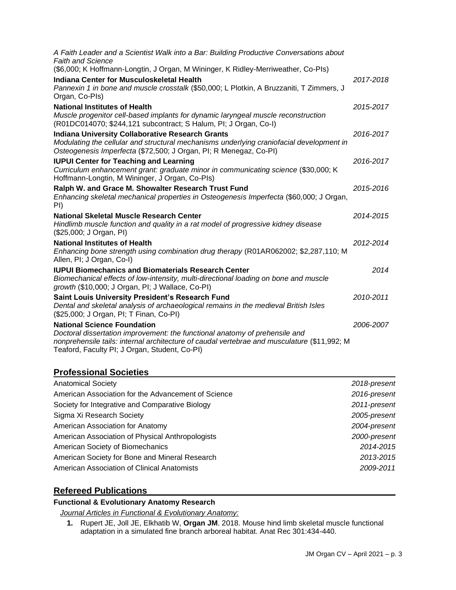| A Faith Leader and a Scientist Walk into a Bar: Building Productive Conversations about<br><b>Faith and Science</b>                                                                                                                                               |           |
|-------------------------------------------------------------------------------------------------------------------------------------------------------------------------------------------------------------------------------------------------------------------|-----------|
| (\$6,000; K Hoffmann-Longtin, J Organ, M Wininger, K Ridley-Merriweather, Co-PIs)                                                                                                                                                                                 |           |
| <b>Indiana Center for Musculoskeletal Health</b><br>Pannexin 1 in bone and muscle crosstalk (\$50,000; L Plotkin, A Bruzzaniti, T Zimmers, J<br>Organ, Co-Pls)                                                                                                    | 2017-2018 |
| <b>National Institutes of Health</b><br>Muscle progenitor cell-based implants for dynamic laryngeal muscle reconstruction<br>(R01DC014070; \$244,121 subcontract; S Halum, PI; J Organ, Co-I)                                                                     | 2015-2017 |
| <b>Indiana University Collaborative Research Grants</b><br>Modulating the cellular and structural mechanisms underlying craniofacial development in<br>Osteogenesis Imperfecta (\$72,500; J Organ, PI; R Menegaz, Co-PI)                                          | 2016-2017 |
| <b>IUPUI Center for Teaching and Learning</b><br>Curriculum enhancement grant: graduate minor in communicating science (\$30,000; K<br>Hoffmann-Longtin, M Wininger, J Organ, Co-PIs)                                                                             | 2016-2017 |
| Ralph W. and Grace M. Showalter Research Trust Fund<br>Enhancing skeletal mechanical properties in Osteogenesis Imperfecta (\$60,000; J Organ,<br>PI)                                                                                                             | 2015-2016 |
| National Skeletal Muscle Research Center<br>Hindlimb muscle function and quality in a rat model of progressive kidney disease<br>(\$25,000; J Organ, PI)                                                                                                          | 2014-2015 |
| <b>National Institutes of Health</b><br>Enhancing bone strength using combination drug therapy (R01AR062002; \$2,287,110; M<br>Allen, PI; J Organ, Co-I)                                                                                                          | 2012-2014 |
| <b>IUPUI Biomechanics and Biomaterials Research Center</b><br>Biomechanical effects of low-intensity, multi-directional loading on bone and muscle<br>growth (\$10,000; J Organ, PI; J Wallace, Co-PI)                                                            | 2014      |
| Saint Louis University President's Research Fund<br>Dental and skeletal analysis of archaeological remains in the medieval British Isles<br>(\$25,000; J Organ, PI; T Finan, Co-PI)                                                                               | 2010-2011 |
| <b>National Science Foundation</b><br>Doctoral dissertation improvement: the functional anatomy of prehensile and<br>nonprehensile tails: internal architecture of caudal vertebrae and musculature (\$11,992; M<br>Teaford, Faculty PI; J Organ, Student, Co-PI) | 2006-2007 |
|                                                                                                                                                                                                                                                                   |           |

# **Professional Societies**

| <b>Anatomical Society</b>                           | 2018-present |
|-----------------------------------------------------|--------------|
| American Association for the Advancement of Science | 2016-present |
| Society for Integrative and Comparative Biology     | 2011-present |
| Sigma Xi Research Society                           | 2005-present |
| American Association for Anatomy                    | 2004-present |
| American Association of Physical Anthropologists    | 2000-present |
| American Society of Biomechanics                    | 2014-2015    |
| American Society for Bone and Mineral Research      | 2013-2015    |
| American Association of Clinical Anatomists         | 2009-2011    |

# **Refereed Publications**

## **Functional & Evolutionary Anatomy Research**

*Journal Articles in Functional & Evolutionary Anatomy:*

**1.** Rupert JE, Joll JE, Elkhatib W, **Organ JM**. 2018. Mouse hind limb skeletal muscle functional adaptation in a simulated fine branch arboreal habitat. Anat Rec 301:434-440.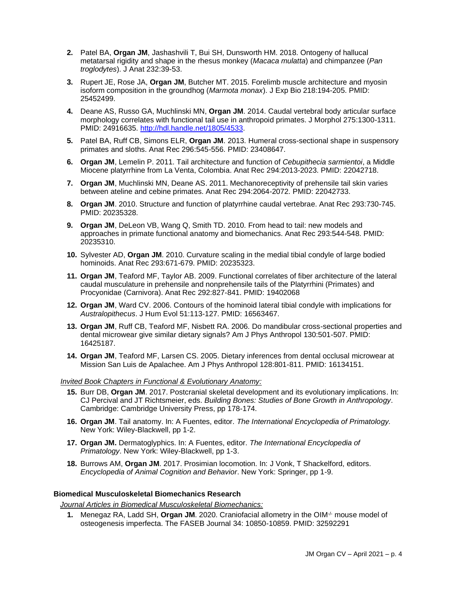- **2.** Patel BA, **Organ JM**, Jashashvili T, Bui SH, Dunsworth HM. 2018. Ontogeny of hallucal metatarsal rigidity and shape in the rhesus monkey (*Macaca mulatta*) and chimpanzee (*Pan troglodytes*). J Anat 232:39-53.
- **3.** Rupert JE, Rose JA, **Organ JM**, Butcher MT. 2015. Forelimb muscle architecture and myosin isoform composition in the groundhog (*Marmota monax*). J Exp Bio 218:194-205. PMID: 25452499.
- **4.** Deane AS, Russo GA, Muchlinski MN, **Organ JM**. 2014. Caudal vertebral body articular surface morphology correlates with functional tail use in anthropoid primates. J Morphol 275:1300-1311. PMID: 24916635. [http://hdl.handle.net/1805/4533.](http://hdl.handle.net/1805/4533)
- **5.** Patel BA, Ruff CB, Simons ELR, **Organ JM**. 2013. Humeral cross-sectional shape in suspensory primates and sloths. Anat Rec 296:545-556. PMID: 23408647.
- **6. Organ JM**, Lemelin P. 2011. Tail architecture and function of *Cebupithecia sarmientoi*, a Middle Miocene platyrrhine from La Venta, Colombia. Anat Rec 294:2013-2023. PMID: 22042718.
- **7. Organ JM**, Muchlinski MN, Deane AS. 2011. Mechanoreceptivity of prehensile tail skin varies between ateline and cebine primates. Anat Rec 294:2064-2072. PMID: 22042733.
- **8. Organ JM**. 2010. Structure and function of platyrrhine caudal vertebrae. Anat Rec 293:730-745. PMID: 20235328.
- **9. Organ JM**, DeLeon VB, Wang Q, Smith TD. 2010. From head to tail: new models and approaches in primate functional anatomy and biomechanics. Anat Rec 293:544-548. PMID: 20235310.
- **10.** Sylvester AD, **Organ JM**. 2010. Curvature scaling in the medial tibial condyle of large bodied hominoids. Anat Rec 293:671-679. PMID: 20235323.
- **11. Organ JM**, Teaford MF, Taylor AB. 2009. Functional correlates of fiber architecture of the lateral caudal musculature in prehensile and nonprehensile tails of the Platyrrhini (Primates) and Procyonidae (Carnivora). Anat Rec 292:827-841. PMID: 19402068
- **12. Organ JM**, Ward CV. 2006. Contours of the hominoid lateral tibial condyle with implications for *Australopithecus*. J Hum Evol 51:113-127. PMID: 16563467.
- **13. Organ JM**, Ruff CB, Teaford MF, Nisbett RA. 2006. Do mandibular cross-sectional properties and dental microwear give similar dietary signals? Am J Phys Anthropol 130:501-507. PMID: 16425187.
- **14. Organ JM**, Teaford MF, Larsen CS. 2005. Dietary inferences from dental occlusal microwear at Mission San Luis de Apalachee. Am J Phys Anthropol 128:801-811. PMID: 16134151.

#### *Invited Book Chapters in Functional & Evolutionary Anatomy:*

- **15.** Burr DB, **Organ JM**. 2017. Postcranial skeletal development and its evolutionary implications. In: CJ Percival and JT Richtsmeier, eds. *Building Bones: Studies of Bone Growth in Anthropology*. Cambridge: Cambridge University Press, pp 178-174.
- **16. Organ JM**. Tail anatomy. In: A Fuentes, editor. *The International Encyclopedia of Primatology.*  New York: Wiley-Blackwell, pp 1-2.
- **17. Organ JM.** Dermatoglyphics. In: A Fuentes, editor. *The International Encyclopedia of Primatology*. New York: Wiley-Blackwell, pp 1-3.
- **18.** Burrows AM, **Organ JM**. 2017. Prosimian locomotion. In: J Vonk, T Shackelford, editors. *Encyclopedia of Animal Cognition and Behavior*. New York: Springer, pp 1-9.

#### **Biomedical Musculoskeletal Biomechanics Research**

*Journal Articles in Biomedical Musculoskeletal Biomechanics:*

**1.** Menegaz RA, Ladd SH, **Organ JM**. 2020. Craniofacial allometry in the OIM-/- mouse model of osteogenesis imperfecta. The FASEB Journal 34: 10850-10859. PMID: 32592291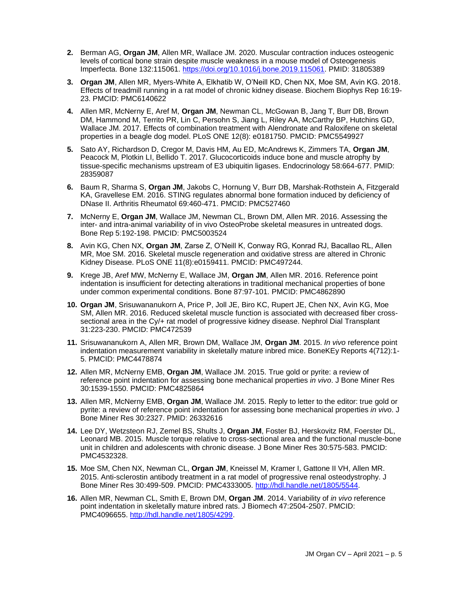- **2.** Berman AG, **Organ JM**, Allen MR, Wallace JM. 2020. Muscular contraction induces osteogenic levels of cortical bone strain despite muscle weakness in a mouse model of Osteogenesis Imperfecta. Bone 132:115061. [https://doi.org/10.1016/j.bone.2019.115061.](https://doi.org/10.1016/j.bone.2019.115061) PMID: 31805389
- **3. Organ JM**, Allen MR, Myers-White A, Elkhatib W, O'Neill KD, Chen NX, Moe SM, Avin KG. 2018. Effects of treadmill running in a rat model of chronic kidney disease. Biochem Biophys Rep 16:19- 23. PMCID: PMC6140622
- **4.** Allen MR, McNerny E, Aref M, **Organ JM**, Newman CL, McGowan B, Jang T, Burr DB, Brown DM, Hammond M, Territo PR, Lin C, Persohn S, Jiang L, Riley AA, McCarthy BP, Hutchins GD, Wallace JM. 2017. Effects of combination treatment with Alendronate and Raloxifene on skeletal properties in a beagle dog model. PLoS ONE 12(8): e0181750. PMCID: PMC5549927
- **5.** Sato AY, Richardson D, Cregor M, Davis HM, Au ED, McAndrews K, Zimmers TA, **Organ JM**, Peacock M, Plotkin LI, Bellido T. 2017. Glucocorticoids induce bone and muscle atrophy by tissue-specific mechanisms upstream of E3 ubiquitin ligases. Endocrinology 58:664-677. PMID: 28359087
- **6.** Baum R, Sharma S, **Organ JM**, Jakobs C, Hornung V, Burr DB, Marshak-Rothstein A, Fitzgerald KA, Gravellese EM. 2016. STING regulates abnormal bone formation induced by deficiency of DNase II. Arthritis Rheumatol 69:460-471. PMCID: PMC527460
- **7.** McNerny E, **Organ JM**, Wallace JM, Newman CL, Brown DM, Allen MR. 2016. Assessing the inter- and intra-animal variability of in vivo OsteoProbe skeletal measures in untreated dogs. Bone Rep 5:192-198. PMCID: PMC5003524
- **8.** Avin KG, Chen NX, **Organ JM**, Zarse Z, O'Neill K, Conway RG, Konrad RJ, Bacallao RL, Allen MR, Moe SM. 2016. Skeletal muscle regeneration and oxidative stress are altered in Chronic Kidney Disease. PLoS ONE 11(8):e0159411. PMCID: PMC497244.
- **9.** Krege JB, Aref MW, McNerny E, Wallace JM, **Organ JM**, Allen MR. 2016. Reference point indentation is insufficient for detecting alterations in traditional mechanical properties of bone under common experimental conditions. Bone 87:97-101. PMCID: PMC4862890
- **10. Organ JM**, Srisuwananukorn A, Price P, Joll JE, Biro KC, Rupert JE, Chen NX, Avin KG, Moe SM, Allen MR. 2016. Reduced skeletal muscle function is associated with decreased fiber crosssectional area in the Cy/+ rat model of progressive kidney disease. Nephrol Dial Transplant 31:223-230. PMCID: PMC472539
- **11.** Srisuwananukorn A, Allen MR, Brown DM, Wallace JM, **Organ JM**. 2015. *In vivo* reference point indentation measurement variability in skeletally mature inbred mice. BoneKEy Reports 4(712):1- 5. PMCID: PMC4478874
- **12.** Allen MR, McNerny EMB, **Organ JM**, Wallace JM. 2015. True gold or pyrite: a review of reference point indentation for assessing bone mechanical properties *in vivo*. J Bone Miner Res 30:1539-1550. PMCID: PMC4825864
- **13.** Allen MR, McNerny EMB, **Organ JM**, Wallace JM. 2015. Reply to letter to the editor: true gold or pyrite: a review of reference point indentation for assessing bone mechanical properties *in vivo*. J Bone Miner Res 30:2327. PMID: 26332616
- **14.** Lee DY, Wetzsteon RJ, Zemel BS, Shults J, **Organ JM**, Foster BJ, Herskovitz RM, Foerster DL, Leonard MB. 2015. Muscle torque relative to cross-sectional area and the functional muscle-bone unit in children and adolescents with chronic disease. J Bone Miner Res 30:575-583. PMCID: PMC4532328.
- **15.** Moe SM, Chen NX, Newman CL, **Organ JM**, Kneissel M, Kramer I, Gattone II VH, Allen MR. 2015. Anti-sclerostin antibody treatment in a rat model of progressive renal osteodystrophy. J Bone Miner Res 30:499-509. PMCID: PMC4333005. [http://hdl.handle.net/1805/5544.](http://hdl.handle.net/1805/5544)
- **16.** Allen MR, Newman CL, Smith E, Brown DM, **Organ JM**. 2014. Variability of *in vivo* reference point indentation in skeletally mature inbred rats. J Biomech 47:2504-2507. PMCID: PMC4096655. [http://hdl.handle.net/1805/4299.](http://hdl.handle.net/1805/4299)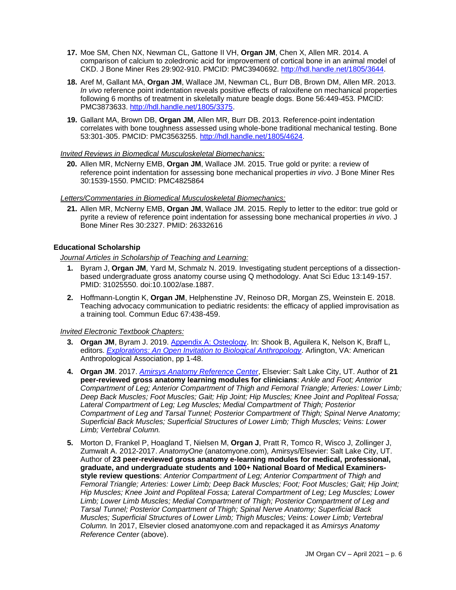- **17.** Moe SM, Chen NX, Newman CL, Gattone II VH, **Organ JM**, Chen X, Allen MR. 2014. A comparison of calcium to zoledronic acid for improvement of cortical bone in an animal model of CKD. J Bone Miner Res 29:902-910. PMCID: PMC3940692. [http://hdl.handle.net/1805/3644.](http://hdl.handle.net/1805/3644)
- **18.** Aref M, Gallant MA, **Organ JM**, Wallace JM, Newman CL, Burr DB, Brown DM, Allen MR. 2013. *In vivo* reference point indentation reveals positive effects of raloxifene on mechanical properties following 6 months of treatment in skeletally mature beagle dogs. Bone 56:449-453. PMCID: PMC3873633. [http://hdl.handle.net/1805/3375.](http://hdl.handle.net/1805/3375)
- **19.** Gallant MA, Brown DB, **Organ JM**, Allen MR, Burr DB. 2013. Reference-point indentation correlates with bone toughness assessed using whole-bone traditional mechanical testing. Bone 53:301-305. PMCID: PMC3563255. [http://hdl.handle.net/1805/4624.](http://hdl.handle.net/1805/4624)

#### *Invited Reviews in Biomedical Musculoskeletal Biomechanics:*

**20.** Allen MR, McNerny EMB, **Organ JM**, Wallace JM. 2015. True gold or pyrite: a review of reference point indentation for assessing bone mechanical properties *in vivo*. J Bone Miner Res 30:1539-1550. PMCID: PMC4825864

#### *Letters/Commentaries in Biomedical Musculoskeletal Biomechanics:*

**21.** Allen MR, McNerny EMB, **Organ JM**, Wallace JM. 2015. Reply to letter to the editor: true gold or pyrite a review of reference point indentation for assessing bone mechanical properties *in vivo*. J Bone Miner Res 30:2327. PMID: 26332616

#### **Educational Scholarship**

#### *Journal Articles in Scholarship of Teaching and Learning:*

- **1.** Byram J, **Organ JM**, Yard M, Schmalz N. 2019. Investigating student perceptions of a dissectionbased undergraduate gross anatomy course using Q methodology. Anat Sci Educ 13:149-157. PMID: 31025550. doi:10.1002/ase.1887.
- **2.** Hoffmann-Longtin K, **Organ JM**, Helphenstine JV, Reinoso DR, Morgan ZS, Weinstein E. 2018. Teaching advocacy communication to pediatric residents: the efficacy of applied improvisation as a training tool. Commun Educ 67:438-459.

#### *Invited Electronic Textbook Chapters:*

- 3. Organ JM, Byram J. 2019. [Appendix A: Osteology.](http://explorations.americananthro.org/wp-content/uploads/2019/11/Appendix-A-Osteology-V-2.0.pdf) In: Shook B, Aguilera K, Nelson K, Braff L, editors. *[Explorations: An Open Invitation to Biological Anthropology](https://pressbooks-dev.oer.hawaii.edu/explorationsbioanth/)*. Arlington, VA: American Anthropological Association, pp 1-48.
- **4. Organ JM**. 2017. *[Amirsys Anatomy Reference Center](http://app.anatomyreferencecenter.com/)*, Elsevier: Salt Lake City, UT. Author of **21 peer-reviewed gross anatomy learning modules for clinicians**: *Ankle and Foot; Anterior Compartment of Leg; Anterior Compartment of Thigh and Femoral Triangle; Arteries: Lower Limb; Deep Back Muscles; Foot Muscles; Gait; Hip Joint; Hip Muscles; Knee Joint and Popliteal Fossa;*  Lateral Compartment of Leg; Leg Muscles; Medial Compartment of Thigh; Posterior *Compartment of Leg and Tarsal Tunnel; Posterior Compartment of Thigh; Spinal Nerve Anatomy; Superficial Back Muscles; Superficial Structures of Lower Limb; Thigh Muscles; Veins: Lower Limb; Vertebral Column.*
- **5.** Morton D, Frankel P, Hoagland T, Nielsen M, **Organ J**, Pratt R, Tomco R, Wisco J, Zollinger J, Zumwalt A. 2012-2017. *AnatomyOne* (anatomyone.com)*,* Amirsys/Elsevier: Salt Lake City, UT. Author of **23 peer-reviewed gross anatomy e-learning modules for medical, professional, graduate, and undergraduate students and 100+ National Board of Medical Examinersstyle review questions**: *Anterior Compartment of Leg; Anterior Compartment of Thigh and Femoral Triangle; Arteries: Lower Limb; Deep Back Muscles; Foot; Foot Muscles; Gait; Hip Joint; Hip Muscles; Knee Joint and Popliteal Fossa; Lateral Compartment of Leg; Leg Muscles; Lower Limb; Lower Limb Muscles; Medial Compartment of Thigh; Posterior Compartment of Leg and Tarsal Tunnel; Posterior Compartment of Thigh; Spinal Nerve Anatomy; Superficial Back Muscles; Superficial Structures of Lower Limb; Thigh Muscles; Veins: Lower Limb; Vertebral Column.* In 2017, Elsevier closed anatomyone.com and repackaged it as *Amirsys Anatomy Reference Center* (above).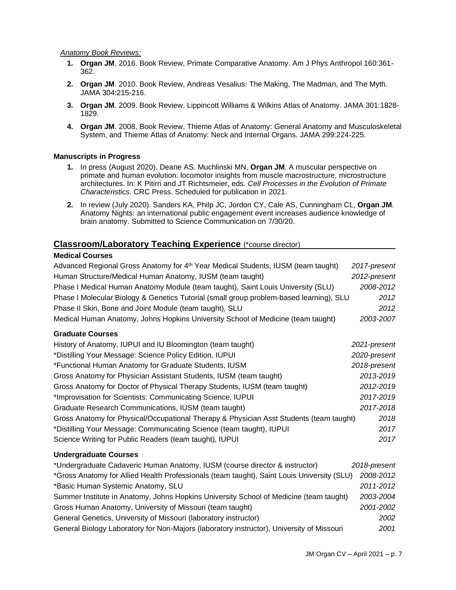#### *Anatomy Book Reviews:*

- **1. Organ JM**. 2016. Book Review, Primate Comparative Anatomy. Am J Phys Anthropol 160:361- 362.
- **2. Organ JM**. 2010. Book Review, Andreas Vesalius: The Making, The Madman, and The Myth. JAMA 304:215-216.
- **3. Organ JM**. 2009. Book Review, Lippincott Williams & Wilkins Atlas of Anatomy. JAMA 301:1828- 1829.
- **4. Organ JM**. 2008. Book Review, Thieme Atlas of Anatomy: General Anatomy and Musculoskeletal System, and Thieme Atlas of Anatomy: Neck and Internal Organs. JAMA 299:224-225.

#### **Manuscripts in Progress**

- **1.** In press (August 2020). Deane AS. Muchlinski MN, **Organ JM**. A muscular perspective on primate and human evolution: locomotor insights from muscle macrostructure, microstructure architectures. In: K Pitirri and JT Richtsmeier, eds. *Cell Processes in the Evolution of Primate Characteristics*. CRC Press. Scheduled for publication in 2021.
- **2.** In review (July 2020). Sanders KA, Philp JC, Jordon CY, Cale AS, Cunningham CL, **Organ JM**. Anatomy Nights: an international public engagement event increases audience knowledge of brain anatomy. Submitted to Science Communication on 7/30/20.

## **Classroom/Laboratory Teaching Experience** (\*course director)

## **Medical Courses**

| Advanced Regional Gross Anatomy for 4th Year Medical Students, IUSM (team taught)          | 2017-present |
|--------------------------------------------------------------------------------------------|--------------|
| Human Structure/Medical Human Anatomy, IUSM (team taught)                                  | 2012-present |
| Phase I Medical Human Anatomy Module (team taught), Saint Louis University (SLU)           | 2008-2012    |
| Phase I Molecular Biology & Genetics Tutorial (small group problem-based learning), SLU    | 2012         |
| Phase II Skin, Bone and Joint Module (team taught), SLU                                    | 2012         |
| Medical Human Anatomy, Johns Hopkins University School of Medicine (team taught)           | 2003-2007    |
| <b>Graduate Courses</b>                                                                    |              |
| History of Anatomy, IUPUI and IU Bloomington (team taught)                                 | 2021-present |
| *Distilling Your Message: Science Policy Edition, IUPUI                                    | 2020-present |
| *Functional Human Anatomy for Graduate Students, IUSM                                      | 2018-present |
| Gross Anatomy for Physician Assistant Students, IUSM (team taught)                         | 2013-2019    |
| Gross Anatomy for Doctor of Physical Therapy Students, IUSM (team taught)                  | 2012-2019    |
| *Improvisation for Scientists: Communicating Science, IUPUI                                | 2017-2019    |
| Graduate Research Communications, IUSM (team taught)                                       | 2017-2018    |
| Gross Anatomy for Physical/Occupational Therapy & Physician Asst Students (team taught)    | 2018         |
| *Distilling Your Message: Communicating Science (team taught), IUPUI                       | 2017         |
| Science Writing for Public Readers (team taught), IUPUI                                    | 2017         |
| <b>Undergraduate Courses</b>                                                               |              |
| *Undergraduate Cadaveric Human Anatomy, IUSM (course director & instructor)                | 2018-present |
| *Gross Anatomy for Allied Health Professionals (team taught), Saint Louis University (SLU) | 2008-2012    |
| *Basic Human Systemic Anatomy, SLU                                                         | 2011-2012    |
| Summer Institute in Anatomy, Johns Hopkins University School of Medicine (team taught)     | 2003-2004    |
| Gross Human Anatomy, University of Missouri (team taught)                                  | 2001-2002    |
| General Genetics, University of Missouri (laboratory instructor)                           | 2002         |

General Biology Laboratory for Non-Majors (laboratory instructor), University of Missouri *2001*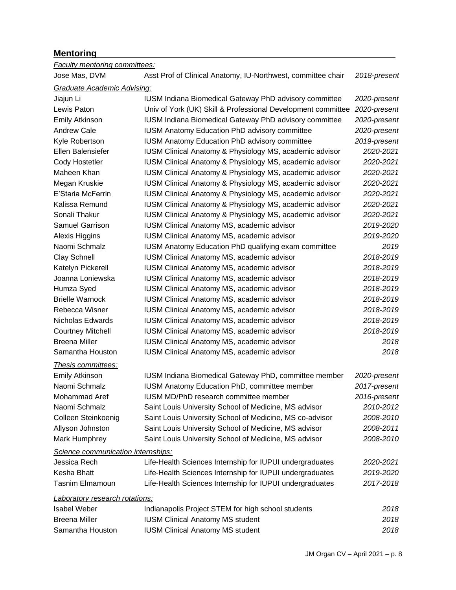# **Mentoring**

| <b>Faculty mentoring committees:</b> |                                                              |              |
|--------------------------------------|--------------------------------------------------------------|--------------|
| Jose Mas, DVM                        | Asst Prof of Clinical Anatomy, IU-Northwest, committee chair | 2018-present |
| <b>Graduate Academic Advising:</b>   |                                                              |              |
| Jiajun Li                            | IUSM Indiana Biomedical Gateway PhD advisory committee       | 2020-present |
| Lewis Paton                          | Univ of York (UK) Skill & Professional Development committee | 2020-present |
| <b>Emily Atkinson</b>                | IUSM Indiana Biomedical Gateway PhD advisory committee       | 2020-present |
| <b>Andrew Cale</b>                   | <b>IUSM Anatomy Education PhD advisory committee</b>         | 2020-present |
| Kyle Robertson                       | <b>IUSM Anatomy Education PhD advisory committee</b>         | 2019-present |
| Ellen Balensiefer                    | IUSM Clinical Anatomy & Physiology MS, academic advisor      | 2020-2021    |
| <b>Cody Hostetler</b>                | IUSM Clinical Anatomy & Physiology MS, academic advisor      | 2020-2021    |
| Maheen Khan                          | IUSM Clinical Anatomy & Physiology MS, academic advisor      | 2020-2021    |
| Megan Kruskie                        | IUSM Clinical Anatomy & Physiology MS, academic advisor      | 2020-2021    |
| E'Staria McFerrin                    | IUSM Clinical Anatomy & Physiology MS, academic advisor      | 2020-2021    |
| Kalissa Remund                       | IUSM Clinical Anatomy & Physiology MS, academic advisor      | 2020-2021    |
| Sonali Thakur                        | IUSM Clinical Anatomy & Physiology MS, academic advisor      | 2020-2021    |
| Samuel Garrison                      | IUSM Clinical Anatomy MS, academic advisor                   | 2019-2020    |
| Alexis Higgins                       | IUSM Clinical Anatomy MS, academic advisor                   | 2019-2020    |
| Naomi Schmalz                        | <b>IUSM Anatomy Education PhD qualifying exam committee</b>  | 2019         |
| <b>Clay Schnell</b>                  | <b>IUSM Clinical Anatomy MS, academic advisor</b>            | 2018-2019    |
| Katelyn Pickerell                    | <b>IUSM Clinical Anatomy MS, academic advisor</b>            | 2018-2019    |
| Joanna Loniewska                     | <b>IUSM Clinical Anatomy MS, academic advisor</b>            | 2018-2019    |
| Humza Syed                           | IUSM Clinical Anatomy MS, academic advisor                   | 2018-2019    |
| <b>Brielle Warnock</b>               | IUSM Clinical Anatomy MS, academic advisor                   | 2018-2019    |
| Rebecca Wisner                       | IUSM Clinical Anatomy MS, academic advisor                   | 2018-2019    |
| Nicholas Edwards                     | <b>IUSM Clinical Anatomy MS, academic advisor</b>            | 2018-2019    |
| <b>Courtney Mitchell</b>             | IUSM Clinical Anatomy MS, academic advisor                   | 2018-2019    |
| <b>Breena Miller</b>                 | IUSM Clinical Anatomy MS, academic advisor                   | 2018         |
| Samantha Houston                     | IUSM Clinical Anatomy MS, academic advisor                   | 2018         |
| Thesis committees:                   |                                                              |              |
| <b>Emily Atkinson</b>                | IUSM Indiana Biomedical Gateway PhD, committee member        | 2020-present |
| Naomi Schmalz                        | IUSM Anatomy Education PhD, committee member                 | 2017-present |
| Mohammad Aref                        | IUSM MD/PhD research committee member                        | 2016-present |
| Naomi Schmalz                        | Saint Louis University School of Medicine, MS advisor        | 2010-2012    |
| Colleen Steinkoenig                  | Saint Louis University School of Medicine, MS co-advisor     | 2008-2010    |
| Allyson Johnston                     | Saint Louis University School of Medicine, MS advisor        | 2008-2011    |
| Mark Humphrey                        | Saint Louis University School of Medicine, MS advisor        | 2008-2010    |
| Science communication internships:   |                                                              |              |
| Jessica Rech                         | Life-Health Sciences Internship for IUPUI undergraduates     | 2020-2021    |
| Kesha Bhatt                          | Life-Health Sciences Internship for IUPUI undergraduates     | 2019-2020    |
| <b>Tasnim Elmamoun</b>               | Life-Health Sciences Internship for IUPUI undergraduates     | 2017-2018    |
| Laboratory research rotations:       |                                                              |              |
| <b>Isabel Weber</b>                  | Indianapolis Project STEM for high school students           | 2018         |
| <b>Breena Miller</b>                 | <b>IUSM Clinical Anatomy MS student</b>                      | 2018         |
| Samantha Houston                     | <b>IUSM Clinical Anatomy MS student</b>                      | 2018         |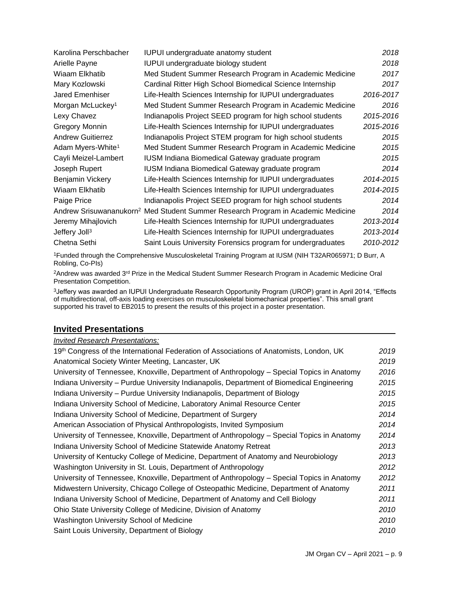| 2018<br>IUPUI undergraduate biology student<br>Arielle Payne<br>2017<br>Wiaam Elkhatib<br>Med Student Summer Research Program in Academic Medicine<br>Cardinal Ritter High School Biomedical Science Internship<br>2017<br>Mary Kozlowski<br>Jared Emenhiser<br>Life-Health Sciences Internship for IUPUI undergraduates<br>2016-2017<br>Morgan McLuckey <sup>1</sup><br>2016<br>Med Student Summer Research Program in Academic Medicine<br>Lexy Chavez<br>2015-2016<br>Indianapolis Project SEED program for high school students<br>2015-2016<br>Gregory Monnin<br>Life-Health Sciences Internship for IUPUI undergraduates<br>2015<br><b>Andrew Guitierrez</b><br>Indianapolis Project STEM program for high school students<br>Adam Myers-White <sup>1</sup><br>Med Student Summer Research Program in Academic Medicine<br>2015<br>Cayli Meizel-Lambert<br>IUSM Indiana Biomedical Gateway graduate program<br>2015<br>2014<br>Joseph Rupert<br>IUSM Indiana Biomedical Gateway graduate program<br>2014-2015<br>Benjamin Vickery<br>Life-Health Sciences Internship for IUPUI undergraduates<br>Wiaam Elkhatib<br>Life-Health Sciences Internship for IUPUI undergraduates<br>2014-2015<br>Indianapolis Project SEED program for high school students<br>2014<br>Paige Price<br>Andrew Srisuwananukorn <sup>2</sup> Med Student Summer Research Program in Academic Medicine<br>2014<br>Life-Health Sciences Internship for IUPUI undergraduates<br>2013-2014<br>Life-Health Sciences Internship for IUPUI undergraduates<br>2013-2014<br>Saint Louis University Forensics program for undergraduates<br>2010-2012<br>Chetna Sethi | Karolina Perschbacher     | IUPUI undergraduate anatomy student | 2018 |
|-------------------------------------------------------------------------------------------------------------------------------------------------------------------------------------------------------------------------------------------------------------------------------------------------------------------------------------------------------------------------------------------------------------------------------------------------------------------------------------------------------------------------------------------------------------------------------------------------------------------------------------------------------------------------------------------------------------------------------------------------------------------------------------------------------------------------------------------------------------------------------------------------------------------------------------------------------------------------------------------------------------------------------------------------------------------------------------------------------------------------------------------------------------------------------------------------------------------------------------------------------------------------------------------------------------------------------------------------------------------------------------------------------------------------------------------------------------------------------------------------------------------------------------------------------------------------------------------------------------------------------------------|---------------------------|-------------------------------------|------|
|                                                                                                                                                                                                                                                                                                                                                                                                                                                                                                                                                                                                                                                                                                                                                                                                                                                                                                                                                                                                                                                                                                                                                                                                                                                                                                                                                                                                                                                                                                                                                                                                                                           |                           |                                     |      |
|                                                                                                                                                                                                                                                                                                                                                                                                                                                                                                                                                                                                                                                                                                                                                                                                                                                                                                                                                                                                                                                                                                                                                                                                                                                                                                                                                                                                                                                                                                                                                                                                                                           |                           |                                     |      |
|                                                                                                                                                                                                                                                                                                                                                                                                                                                                                                                                                                                                                                                                                                                                                                                                                                                                                                                                                                                                                                                                                                                                                                                                                                                                                                                                                                                                                                                                                                                                                                                                                                           |                           |                                     |      |
|                                                                                                                                                                                                                                                                                                                                                                                                                                                                                                                                                                                                                                                                                                                                                                                                                                                                                                                                                                                                                                                                                                                                                                                                                                                                                                                                                                                                                                                                                                                                                                                                                                           |                           |                                     |      |
|                                                                                                                                                                                                                                                                                                                                                                                                                                                                                                                                                                                                                                                                                                                                                                                                                                                                                                                                                                                                                                                                                                                                                                                                                                                                                                                                                                                                                                                                                                                                                                                                                                           |                           |                                     |      |
|                                                                                                                                                                                                                                                                                                                                                                                                                                                                                                                                                                                                                                                                                                                                                                                                                                                                                                                                                                                                                                                                                                                                                                                                                                                                                                                                                                                                                                                                                                                                                                                                                                           |                           |                                     |      |
|                                                                                                                                                                                                                                                                                                                                                                                                                                                                                                                                                                                                                                                                                                                                                                                                                                                                                                                                                                                                                                                                                                                                                                                                                                                                                                                                                                                                                                                                                                                                                                                                                                           |                           |                                     |      |
|                                                                                                                                                                                                                                                                                                                                                                                                                                                                                                                                                                                                                                                                                                                                                                                                                                                                                                                                                                                                                                                                                                                                                                                                                                                                                                                                                                                                                                                                                                                                                                                                                                           |                           |                                     |      |
|                                                                                                                                                                                                                                                                                                                                                                                                                                                                                                                                                                                                                                                                                                                                                                                                                                                                                                                                                                                                                                                                                                                                                                                                                                                                                                                                                                                                                                                                                                                                                                                                                                           |                           |                                     |      |
|                                                                                                                                                                                                                                                                                                                                                                                                                                                                                                                                                                                                                                                                                                                                                                                                                                                                                                                                                                                                                                                                                                                                                                                                                                                                                                                                                                                                                                                                                                                                                                                                                                           |                           |                                     |      |
|                                                                                                                                                                                                                                                                                                                                                                                                                                                                                                                                                                                                                                                                                                                                                                                                                                                                                                                                                                                                                                                                                                                                                                                                                                                                                                                                                                                                                                                                                                                                                                                                                                           |                           |                                     |      |
|                                                                                                                                                                                                                                                                                                                                                                                                                                                                                                                                                                                                                                                                                                                                                                                                                                                                                                                                                                                                                                                                                                                                                                                                                                                                                                                                                                                                                                                                                                                                                                                                                                           |                           |                                     |      |
|                                                                                                                                                                                                                                                                                                                                                                                                                                                                                                                                                                                                                                                                                                                                                                                                                                                                                                                                                                                                                                                                                                                                                                                                                                                                                                                                                                                                                                                                                                                                                                                                                                           |                           |                                     |      |
|                                                                                                                                                                                                                                                                                                                                                                                                                                                                                                                                                                                                                                                                                                                                                                                                                                                                                                                                                                                                                                                                                                                                                                                                                                                                                                                                                                                                                                                                                                                                                                                                                                           |                           |                                     |      |
|                                                                                                                                                                                                                                                                                                                                                                                                                                                                                                                                                                                                                                                                                                                                                                                                                                                                                                                                                                                                                                                                                                                                                                                                                                                                                                                                                                                                                                                                                                                                                                                                                                           |                           |                                     |      |
|                                                                                                                                                                                                                                                                                                                                                                                                                                                                                                                                                                                                                                                                                                                                                                                                                                                                                                                                                                                                                                                                                                                                                                                                                                                                                                                                                                                                                                                                                                                                                                                                                                           | Jeremy Mihajlovich        |                                     |      |
|                                                                                                                                                                                                                                                                                                                                                                                                                                                                                                                                                                                                                                                                                                                                                                                                                                                                                                                                                                                                                                                                                                                                                                                                                                                                                                                                                                                                                                                                                                                                                                                                                                           | Jeffery Joll <sup>3</sup> |                                     |      |
|                                                                                                                                                                                                                                                                                                                                                                                                                                                                                                                                                                                                                                                                                                                                                                                                                                                                                                                                                                                                                                                                                                                                                                                                                                                                                                                                                                                                                                                                                                                                                                                                                                           |                           |                                     |      |

<sup>1</sup>Funded through the Comprehensive Musculoskeletal Training Program at IUSM (NIH T32AR065971; D Burr, A Robling, Co-PIs)

<sup>2</sup>Andrew was awarded 3<sup>rd</sup> Prize in the Medical Student Summer Research Program in Academic Medicine Oral Presentation Competition.

<sup>3</sup>Jeffery was awarded an IUPUI Undergraduate Research Opportunity Program (UROP) grant in April 2014, "Effects of multidirectional, off-axis loading exercises on musculoskeletal biomechanical properties". This small grant supported his travel to EB2015 to present the results of this project in a poster presentation.

# **Invited Presentations**

## *Invited Research Presentations:*

| 19th Congress of the International Federation of Associations of Anatomists, London, UK    | 2019 |
|--------------------------------------------------------------------------------------------|------|
| Anatomical Society Winter Meeting, Lancaster, UK                                           | 2019 |
| University of Tennessee, Knoxville, Department of Anthropology - Special Topics in Anatomy | 2016 |
| Indiana University - Purdue University Indianapolis, Department of Biomedical Engineering  | 2015 |
| Indiana University – Purdue University Indianapolis, Department of Biology                 | 2015 |
| Indiana University School of Medicine, Laboratory Animal Resource Center                   | 2015 |
| Indiana University School of Medicine, Department of Surgery                               | 2014 |
| American Association of Physical Anthropologists, Invited Symposium                        | 2014 |
| University of Tennessee, Knoxville, Department of Anthropology – Special Topics in Anatomy | 2014 |
| Indiana University School of Medicine Statewide Anatomy Retreat                            | 2013 |
| University of Kentucky College of Medicine, Department of Anatomy and Neurobiology         | 2013 |
| Washington University in St. Louis, Department of Anthropology                             | 2012 |
| University of Tennessee, Knoxville, Department of Anthropology - Special Topics in Anatomy | 2012 |
| Midwestern University, Chicago College of Osteopathic Medicine, Department of Anatomy      | 2011 |
| Indiana University School of Medicine, Department of Anatomy and Cell Biology              | 2011 |
| Ohio State University College of Medicine, Division of Anatomy                             | 2010 |
| Washington University School of Medicine                                                   | 2010 |
| Saint Louis University, Department of Biology                                              | 2010 |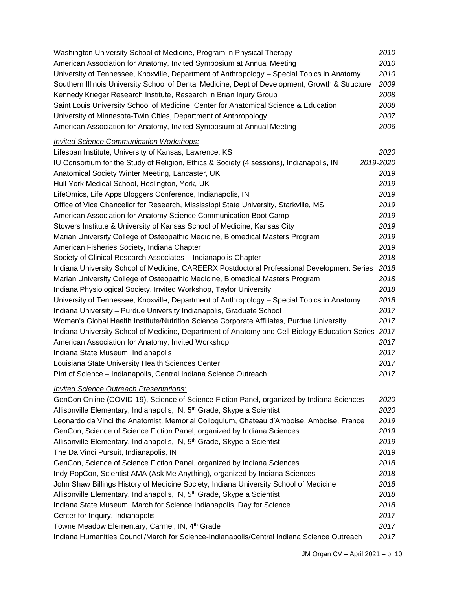| Washington University School of Medicine, Program in Physical Therapy                           | 2010      |
|-------------------------------------------------------------------------------------------------|-----------|
| American Association for Anatomy, Invited Symposium at Annual Meeting                           | 2010      |
| University of Tennessee, Knoxville, Department of Anthropology - Special Topics in Anatomy      | 2010      |
| Southern Illinois University School of Dental Medicine, Dept of Development, Growth & Structure | 2009      |
| Kennedy Krieger Research Institute, Research in Brian Injury Group                              | 2008      |
| Saint Louis University School of Medicine, Center for Anatomical Science & Education            | 2008      |
| University of Minnesota-Twin Cities, Department of Anthropology                                 | 2007      |
| American Association for Anatomy, Invited Symposium at Annual Meeting                           | 2006      |
| <b>Invited Science Communication Workshops:</b>                                                 |           |
| Lifespan Institute, University of Kansas, Lawrence, KS                                          | 2020      |
| IU Consortium for the Study of Religion, Ethics & Society (4 sessions), Indianapolis, IN        | 2019-2020 |
| Anatomical Society Winter Meeting, Lancaster, UK                                                | 2019      |
| Hull York Medical School, Heslington, York, UK                                                  | 2019      |
| LifeOmics, Life Apps Bloggers Conference, Indianapolis, IN                                      | 2019      |
| Office of Vice Chancellor for Research, Mississippi State University, Starkville, MS            | 2019      |
| American Association for Anatomy Science Communication Boot Camp                                | 2019      |
| Stowers Institute & University of Kansas School of Medicine, Kansas City                        | 2019      |
| Marian University College of Osteopathic Medicine, Biomedical Masters Program                   | 2019      |
| American Fisheries Society, Indiana Chapter                                                     | 2019      |
| Society of Clinical Research Associates - Indianapolis Chapter                                  | 2018      |
| Indiana University School of Medicine, CAREERX Postdoctoral Professional Development Series     | 2018      |
| Marian University College of Osteopathic Medicine, Biomedical Masters Program                   | 2018      |
| Indiana Physiological Society, Invited Workshop, Taylor University                              | 2018      |
| University of Tennessee, Knoxville, Department of Anthropology - Special Topics in Anatomy      | 2018      |
| Indiana University - Purdue University Indianapolis, Graduate School                            | 2017      |
| Women's Global Health Institute/Nutrition Science Corporate Affiliates, Purdue University       | 2017      |
| Indiana University School of Medicine, Department of Anatomy and Cell Biology Education Series  | 2017      |
| American Association for Anatomy, Invited Workshop                                              | 2017      |
| Indiana State Museum, Indianapolis                                                              | 2017      |
| Louisiana State University Health Sciences Center                                               | 2017      |
| Pint of Science - Indianapolis, Central Indiana Science Outreach                                | 2017      |
| <b>Invited Science Outreach Presentations:</b>                                                  |           |
| GenCon Online (COVID-19), Science of Science Fiction Panel, organized by Indiana Sciences       | 2020      |
| Allisonville Elementary, Indianapolis, IN, 5 <sup>th</sup> Grade, Skype a Scientist             | 2020      |
| Leonardo da Vinci the Anatomist, Memorial Colloquium, Chateau d'Amboise, Amboise, France        | 2019      |
| GenCon, Science of Science Fiction Panel, organized by Indiana Sciences                         | 2019      |
| Allisonville Elementary, Indianapolis, IN, 5 <sup>th</sup> Grade, Skype a Scientist             | 2019      |
| The Da Vinci Pursuit, Indianapolis, IN                                                          | 2019      |
| GenCon, Science of Science Fiction Panel, organized by Indiana Sciences                         | 2018      |
| Indy PopCon, Scientist AMA (Ask Me Anything), organized by Indiana Sciences                     | 2018      |
| John Shaw Billings History of Medicine Society, Indiana University School of Medicine           | 2018      |
| Allisonville Elementary, Indianapolis, IN, 5 <sup>th</sup> Grade, Skype a Scientist             | 2018      |
| Indiana State Museum, March for Science Indianapolis, Day for Science                           | 2018      |
| Center for Inquiry, Indianapolis                                                                | 2017      |
| Towne Meadow Elementary, Carmel, IN, 4th Grade                                                  | 2017      |
| Indiana Humanities Council/March for Science-Indianapolis/Central Indiana Science Outreach      | 2017      |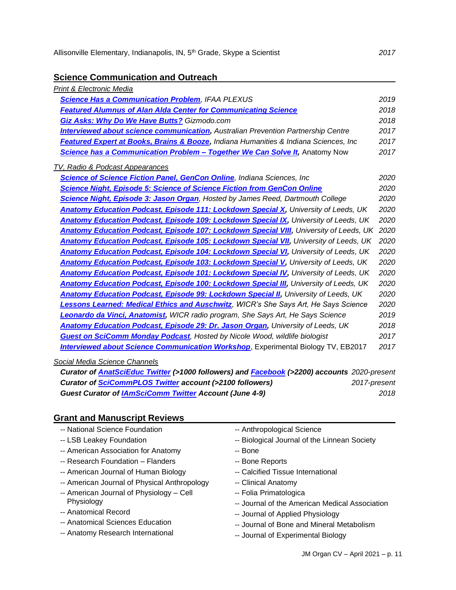#### **Science Communication and Outreach**

| Print & Electronic Media                                                                      |      |
|-----------------------------------------------------------------------------------------------|------|
| <b>Science Has a Communication Problem, IFAA PLEXUS</b>                                       | 2019 |
| <b>Featured Alumnus of Alan Alda Center for Communicating Science</b>                         | 2018 |
| <b>Giz Asks: Why Do We Have Butts?</b> Gizmodo.com                                            | 2018 |
| <b>Interviewed about science communication, Australian Prevention Partnership Centre</b>      | 2017 |
| Featured Expert at Books, Brains & Booze, Indiana Humanities & Indiana Sciences, Inc          | 2017 |
| <b>Science has a Communication Problem - Together We Can Solve It, Anatomy Now</b>            | 2017 |
| <b>TV, Radio &amp; Podcast Appearances</b>                                                    |      |
| <b>Science of Science Fiction Panel, GenCon Online</b> , Indiana Sciences, Inc                | 2020 |
| <b>Science Night, Episode 5: Science of Science Fiction from GenCon Online</b>                | 2020 |
| <b>Science Night, Episode 3: Jason Organ</b> , Hosted by James Reed, Dartmouth College        | 2020 |
| <b>Anatomy Education Podcast, Episode 111: Lockdown Special X, University of Leeds, UK</b>    | 2020 |
| <b>Anatomy Education Podcast, Episode 109: Lockdown Special IX, University of Leeds, UK</b>   | 2020 |
| <b>Anatomy Education Podcast, Episode 107: Lockdown Special VIII, University of Leeds, UK</b> | 2020 |
| <b>Anatomy Education Podcast, Episode 105: Lockdown Special VII, University of Leeds, UK</b>  | 2020 |
| <b>Anatomy Education Podcast, Episode 104: Lockdown Special VI, University of Leeds, UK</b>   | 2020 |
| <b>Anatomy Education Podcast, Episode 103: Lockdown Special V, University of Leeds, UK</b>    | 2020 |
| <b>Anatomy Education Podcast, Episode 101: Lockdown Special IV, University of Leeds, UK</b>   | 2020 |
| <b>Anatomy Education Podcast, Episode 100: Lockdown Special III, University of Leeds, UK</b>  | 2020 |
| <b>Anatomy Education Podcast, Episode 99: Lockdown Special II, University of Leeds, UK</b>    | 2020 |
| <b>Lessons Learned: Medical Ethics and Auschwitz</b> , WICR's She Says Art, He Says Science   | 2020 |
| Leonardo da Vinci, Anatomist, WICR radio program, She Says Art, He Says Science               | 2019 |
| <b>Anatomy Education Podcast, Episode 29: Dr. Jason Organ, University of Leeds, UK</b>        | 2018 |
| <b>Guest on SciComm Monday Podcast</b> , Hosted by Nicole Wood, wildlife biologist            | 2017 |
| <b>Interviewed about Science Communication Workshop</b> , Experimental Biology TV, EB2017     | 2017 |
|                                                                                               |      |

#### *Social Media Science Channels*

*Curator of [AnatSciEduc Twitter](https://twitter.com/AnatSciEduc) (>1000 followers) and [Facebook](https://www.facebook.com/anatomical.sciences.education/?eid=ARDFirOZOA73j4lz8tUcO1C24ZJnzNBQBU1GVFKC9kDM01j1wqWmfOfNBguf-E25eveVpaN1v6gu4N4w) (>2200) accounts 2020-present Curator of [SciCommPLOS Twitter](https://twitter.com/scicommplos) account (>2100 followers) 2017-present Guest Curator of [IAmSciComm Twitter](@IAmSciComm%20Twitter%20account) Account (June 4-9) 2018*

#### **Grant and Manuscript Reviews**

- -- LSB Leakey Foundation
- -- American Association for Anatomy
- -- Research Foundation Flanders
- -- American Journal of Human Biology
- -- American Journal of Physical Anthropology
- -- American Journal of Physiology Cell Physiology
- -- Anatomical Record
- -- Anatomical Sciences Education
- -- Anatomy Research International
- -- Anthropological Science
- -- Biological Journal of the Linnean Society
- -- Bone
- -- Bone Reports
- -- Calcified Tissue International
- -- Clinical Anatomy
- -- Folia Primatologica
- -- Journal of the American Medical Association
- -- Journal of Applied Physiology
- -- Journal of Bone and Mineral Metabolism
- -- Journal of Experimental Biology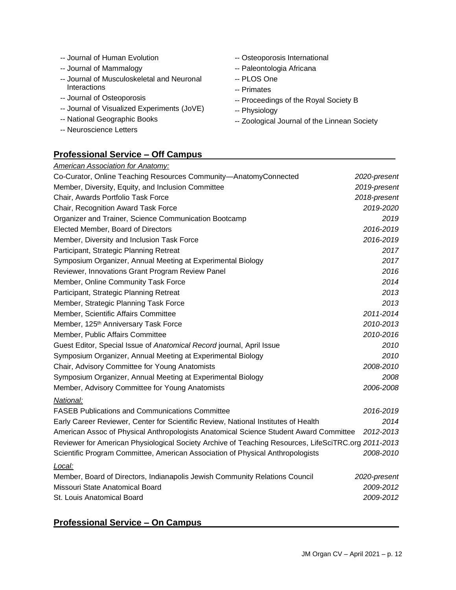- -- Journal of Human Evolution
- -- Journal of Mammalogy
- -- Journal of Musculoskeletal and Neuronal **Interactions**
- -- Journal of Osteoporosis
- -- Journal of Visualized Experiments (JoVE)
- -- National Geographic Books
- -- Neuroscience Letters
- -- Osteoporosis International
- -- Paleontologia Africana
- -- PLOS One
- -- Primates
- -- Proceedings of the Royal Society B
- -- Physiology
- -- Zoological Journal of the Linnean Society

# **Professional Service – Off Campus**

| <b>American Association for Anatomy:</b>                                                            |              |
|-----------------------------------------------------------------------------------------------------|--------------|
| Co-Curator, Online Teaching Resources Community-AnatomyConnected                                    | 2020-present |
| Member, Diversity, Equity, and Inclusion Committee                                                  | 2019-present |
| Chair, Awards Portfolio Task Force                                                                  | 2018-present |
| Chair, Recognition Award Task Force                                                                 | 2019-2020    |
| Organizer and Trainer, Science Communication Bootcamp                                               | 2019         |
| Elected Member, Board of Directors                                                                  | 2016-2019    |
| Member, Diversity and Inclusion Task Force                                                          | 2016-2019    |
| Participant, Strategic Planning Retreat                                                             | 2017         |
| Symposium Organizer, Annual Meeting at Experimental Biology                                         | 2017         |
| Reviewer, Innovations Grant Program Review Panel                                                    | 2016         |
| Member, Online Community Task Force                                                                 | 2014         |
| Participant, Strategic Planning Retreat                                                             | 2013         |
| Member, Strategic Planning Task Force                                                               | 2013         |
| Member, Scientific Affairs Committee                                                                | 2011-2014    |
| Member, 125 <sup>th</sup> Anniversary Task Force                                                    | 2010-2013    |
| Member, Public Affairs Committee                                                                    | 2010-2016    |
| Guest Editor, Special Issue of Anatomical Record journal, April Issue                               | 2010         |
| Symposium Organizer, Annual Meeting at Experimental Biology                                         | 2010         |
| Chair, Advisory Committee for Young Anatomists                                                      | 2008-2010    |
| Symposium Organizer, Annual Meeting at Experimental Biology                                         | 2008         |
| Member, Advisory Committee for Young Anatomists                                                     | 2006-2008    |
| National:                                                                                           |              |
| <b>FASEB Publications and Communications Committee</b>                                              | 2016-2019    |
| Early Career Reviewer, Center for Scientific Review, National Institutes of Health                  | 2014         |
| American Assoc of Physical Anthropologists Anatomical Science Student Award Committee               | 2012-2013    |
| Reviewer for American Physiological Society Archive of Teaching Resources, LifeSciTRC.org 2011-2013 |              |
| Scientific Program Committee, American Association of Physical Anthropologists                      | 2008-2010    |
| Local:                                                                                              |              |
| Member, Board of Directors, Indianapolis Jewish Community Relations Council                         | 2020-present |
| Missouri State Anatomical Board                                                                     | 2009-2012    |
| St. Louis Anatomical Board                                                                          | 2009-2012    |
|                                                                                                     |              |

# **Professional Service – On Campus**